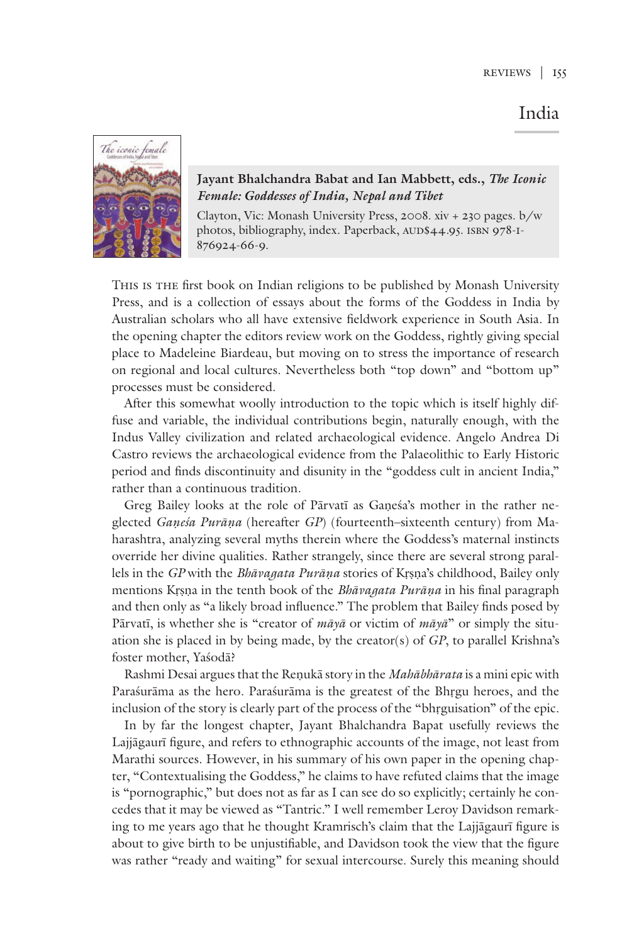## India



## **Jayant Bhalchandra Babat and Ian Mabbett, eds.,** *The Iconic Female: Goddesses of India, Nepal and Tibet*

Clayton, Vic: Monash University Press, 2008. xiv + 230 pages. b/w photos, bibliography, index. Paperback, AUD\$44.95. ISBN 978-I-876924-66-9.

This is the first book on Indian religions to be published by Monash University Press, and is a collection of essays about the forms of the Goddess in India by Australian scholars who all have extensive fieldwork experience in South Asia. In the opening chapter the editors review work on the Goddess, rightly giving special place to Madeleine Biardeau, but moving on to stress the importance of research on regional and local cultures. Nevertheless both "top down" and "bottom up" processes must be considered.

After this somewhat woolly introduction to the topic which is itself highly diffuse and variable, the individual contributions begin, naturally enough, with the Indus Valley civilization and related archaeological evidence. Angelo Andrea Di Castro reviews the archaeological evidence from the Palaeolithic to Early Historic period and finds discontinuity and disunity in the "goddess cult in ancient India," rather than a continuous tradition.

Greg Bailey looks at the role of Pārvatī as Gaṇeśa's mother in the rather neglected *Gaṇeśa Purāṇa* (hereafter *GP*) (fourteenth–sixteenth century) from Maharashtra, analyzing several myths therein where the Goddess's maternal instincts override her divine qualities. Rather strangely, since there are several strong parallels in the *GP* with the *Bhāvagata Purāṇa* stories of Kṛṣṇa's childhood, Bailey only mentions Kṛṣṇa in the tenth book of the *Bhāvagata Purāṇa* in his final paragraph and then only as "a likely broad influence." The problem that Bailey finds posed by Pārvatī, is whether she is "creator of *māyā* or victim of *māyā*" or simply the situation she is placed in by being made, by the creator(s) of *GP*, to parallel Krishna's foster mother, Yaśodā?

Rashmi Desai argues that the Reṇukā story in the *Mahābhārata* is a mini epic with Paraśurāma as the hero. Paraśurāma is the greatest of the Bhṛgu heroes, and the inclusion of the story is clearly part of the process of the "bhṛguisation" of the epic.

In by far the longest chapter, Jayant Bhalchandra Bapat usefully reviews the Lajjāgaurī figure, and refers to ethnographic accounts of the image, not least from Marathi sources. However, in his summary of his own paper in the opening chapter, "Contextualising the Goddess," he claims to have refuted claims that the image is "pornographic," but does not as far as I can see do so explicitly; certainly he concedes that it may be viewed as "Tantric." I well remember Leroy Davidson remarking to me years ago that he thought Kramrisch's claim that the Lajjāgaurī figure is about to give birth to be unjustifiable, and Davidson took the view that the figure was rather "ready and waiting" for sexual intercourse. Surely this meaning should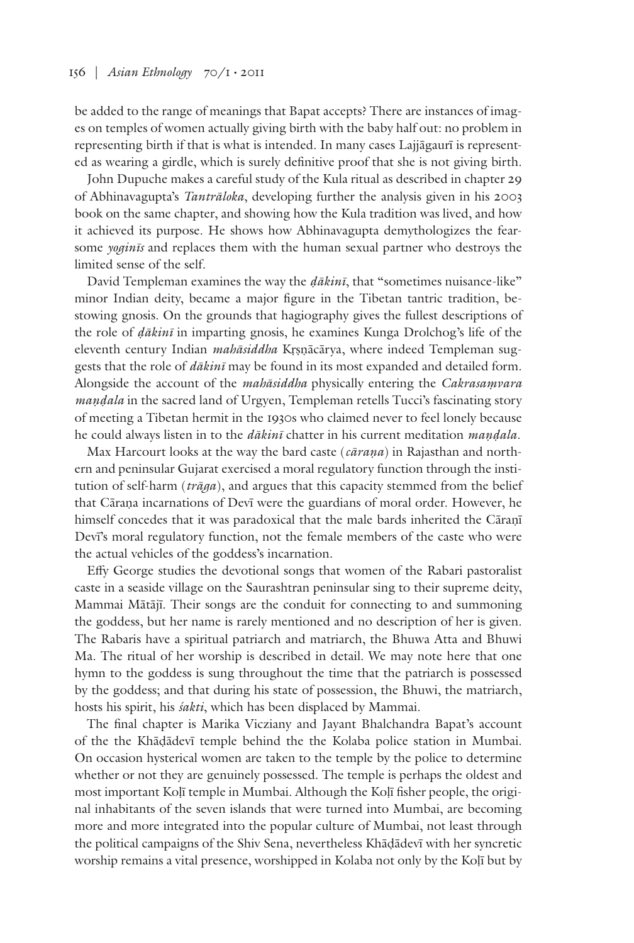be added to the range of meanings that Bapat accepts? There are instances of images on temples of women actually giving birth with the baby half out: no problem in representing birth if that is what is intended. In many cases Lajjāgaurī is represented as wearing a girdle, which is surely definitive proof that she is not giving birth.

John Dupuche makes a careful study of the Kula ritual as described in chapter 29 of Abhinavagupta's *Tantrāloka*, developing further the analysis given in his 2003 book on the same chapter, and showing how the Kula tradition was lived, and how it achieved its purpose. He shows how Abhinavagupta demythologizes the fearsome *yoginīs* and replaces them with the human sexual partner who destroys the limited sense of the self.

David Templeman examines the way the *ḍākinī*, that "sometimes nuisance-like" minor Indian deity, became a major figure in the Tibetan tantric tradition, bestowing gnosis. On the grounds that hagiography gives the fullest descriptions of the role of *ḍākinī* in imparting gnosis, he examines Kunga Drolchog's life of the eleventh century Indian *mahāsiddha* Kṛṣṇācārya, where indeed Templeman suggests that the role of *dākinī* may be found in its most expanded and detailed form. Alongside the account of the *mahāsiddha* physically entering the *Cakrasaṃvara maṇḍala* in the sacred land of Urgyen, Templeman retells Tucci's fascinating story of meeting a Tibetan hermit in the 1930s who claimed never to feel lonely because he could always listen in to the *dākinī* chatter in his current meditation *maṇḍala*.

Max Harcourt looks at the way the bard caste (*cāraṇa*) in Rajasthan and northern and peninsular Gujarat exercised a moral regulatory function through the institution of self-harm (*trāga*), and argues that this capacity stemmed from the belief that Cāraṇa incarnations of Devī were the guardians of moral order. However, he himself concedes that it was paradoxical that the male bards inherited the Cāraṇī Devī's moral regulatory function, not the female members of the caste who were the actual vehicles of the goddess's incarnation.

Effy George studies the devotional songs that women of the Rabari pastoralist caste in a seaside village on the Saurashtran peninsular sing to their supreme deity, Mammai Mātājī. Their songs are the conduit for connecting to and summoning the goddess, but her name is rarely mentioned and no description of her is given. The Rabaris have a spiritual patriarch and matriarch, the Bhuwa Atta and Bhuwi Ma. The ritual of her worship is described in detail. We may note here that one hymn to the goddess is sung throughout the time that the patriarch is possessed by the goddess; and that during his state of possession, the Bhuwi, the matriarch, hosts his spirit, his *śakti*, which has been displaced by Mammai.

The final chapter is Marika Vicziany and Jayant Bhalchandra Bapat's account of the the Khāḍādevī temple behind the the Kolaba police station in Mumbai. On occasion hysterical women are taken to the temple by the police to determine whether or not they are genuinely possessed. The temple is perhaps the oldest and most important Koḷī temple in Mumbai. Although the Koḷī fisher people, the original inhabitants of the seven islands that were turned into Mumbai, are becoming more and more integrated into the popular culture of Mumbai, not least through the political campaigns of the Shiv Sena, nevertheless Khāḍādevī with her syncretic worship remains a vital presence, worshipped in Kolaba not only by the Koḷī but by